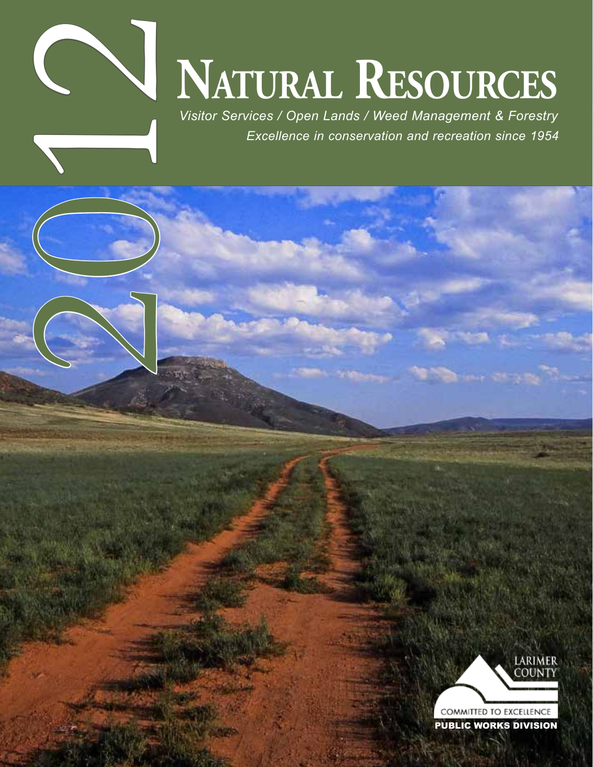

# **NATURAL RESOURCES**

*Visitor Services / Open Lands / Weed Management & Forestry Excellence in conservation and recreation since 1954* 



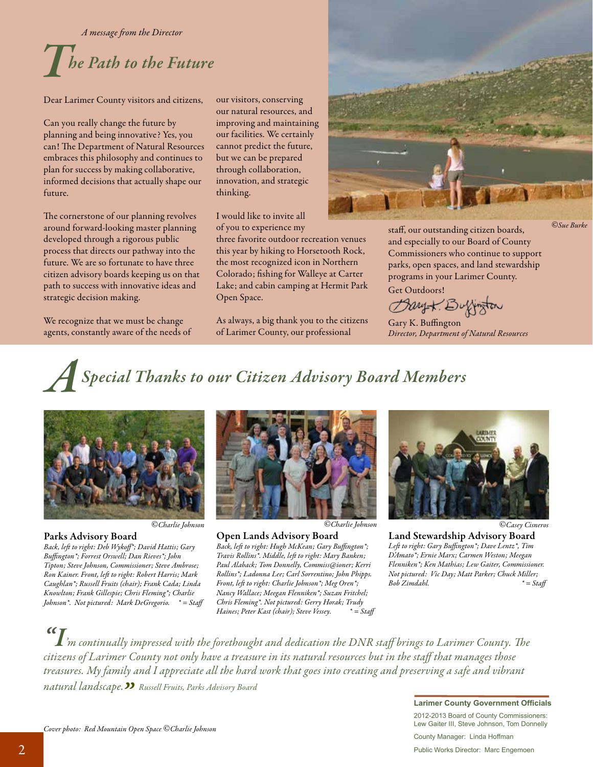*A message fom the Director* 

## **The Path to the Future**

Dear Larimer County visitors and citizens,

Can you really change the future by planning and being innovative? Yes, you can! The Department of Natural Resources embraces this philosophy and continues to plan for success by making collaborative, informed decisions that actually shape our future.

The cornerstone of our planning revolves around forward-looking master planning developed through a rigorous public process that directs our pathway into the future. We are so fortunate to have three citizen advisory boards keeping us on that path to success with innovative ideas and strategic decision making.

We recognize that we must be change agents, constantly aware of the needs of our visitors, conserving our natural resources, and improving and maintaining our facilities. We certainly cannot predict the future, but we can be prepared through collaboration, innovation, and strategic thinking.

I would like to invite all of you to experience my

three favorite outdoor recreation venues this year by hiking to Horsetooth Rock, the most recognized icon in Northern Colorado; fshing for Walleye at Carter Lake; and cabin camping at Hermit Park Open Space.

As always, a big thank you to the citizens of Larimer County, our professional

![](_page_1_Picture_10.jpeg)

staf, our outstanding citizen boards, and especially to our Board of County Commissioners who continue to support parks, open spaces, and land stewardship programs in your Larimer County. Get Outdoors!

Bary K. Buffington

Gary K. Bufngton *Director, Department of Natural Resources* 

*©Sue Burke* 

*ASpecial Thanks to our Citizen Advisory Board Members* 

![](_page_1_Picture_16.jpeg)

*Back, lef to right: Deb Wykof\*; David Hattis; Gary Back, lef to right: Hugh McKean; Gary Bufngton\*; Lef to right: Gary Bufngton\*; Dave Lentz\*, Tim Bufngton\*; Forrest Orswell; Dan Rieves\*; John Travis Rollins\*. Middle, lef to right: Mary Banken; D'Amato\*; Ernie Marx; Carmen Weston; Meegan Tipton; Steve Johnson, Commissioner; Steve Ambrose; Paul Alaback; Tom Donnelly, Commiss@ioner; Kerri Flenniken\*; Ken Mathias; Lew Gaiter, Commissioner. Ron Kainer. Front, lef to right: Robert Harris; Mark Rollins\*; Ladonna Lee; Carl Sorrentino; John Phipps. Not pictured: Vic Day; Matt Parker; Chuck Miller; Caughlan\*; Russell Fruits (chair); Frank Cada; Linda*<br>Knowlton; Frank Gillespie; Chris Fleming\*; Charlie

![](_page_1_Picture_20.jpeg)

 Parks Advisory Board <sup>Open Lands Advisory Board Land Stewardship Advisory Board<br>Back, left to right: Deb Wykoff'; David Hattis; Gary Back, left to right: Hugh McKean; Gary Buffington\*; Left to right: Gary Buffington\*; Dave</sup> *Knowlton; Frank Gillespie; Chris Fleming\*; Charlie Nancy Wallace; Meegan Flenniken\*; Suzan Fritchel; Johnson\*. Not pictured: Mark DeGregorio. \* = Staf Chris Fleming\*. Not pictured: Gerry Horak; Trudy Haines; Peter Kast (chair); Steve Vessey.* 

![](_page_1_Picture_23.jpeg)

 $\bm{T}_m$  continually impressed with the forethought and dedication the DNR staff brings to Larimer County. The *citizens of Larimer County not only have a treasure in its natural resources but in the staf that manages those treasures. My family and I appreciate all the hard work that goes into creating and preserving a safe and vibrant* 

 *natural landscape." Russell Fruits, Parks Advisory Board* 

**Larimer County Government Officials** 2012-2013 Board of County Commissioners:<br>Lew Gaiter III, Steve Johnson, Tom Donnelly

County Manager: Linda Hoffman and the Public Works Director: Marc Engemoen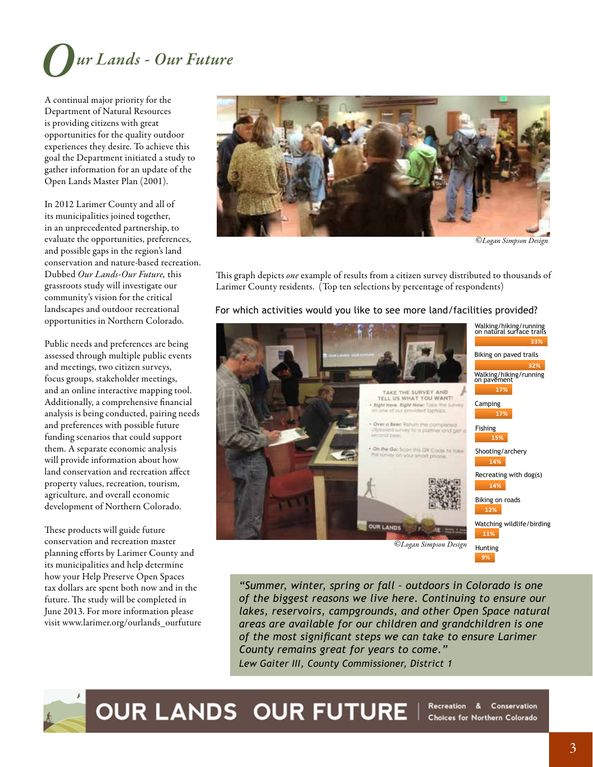![](_page_2_Picture_0.jpeg)

A continual major priority for the Department of Natural Resources is providing citizens with great opportunities for the quality outdoor experiences they desire. To achieve this goal the Department initiated a study to gather information for an update of the Open Lands Master Plan (2001).

In 2012 Larimer County and all of its municipalities joined together, in an unprecedented partnership, to evaluate the opportunities, preferences, and possible gaps in the region's land conservation and nature-based recreation. community's vision for the critical opportunities in Northern Colorado.

Public needs and preferences are being focus groups, stakeholder meetings,

conservation and recreation master its municipalities and help determine how your Help Preserve Open Spaces

![](_page_2_Picture_5.jpeg)

*©Logan Simpson Design* 

Dubbed *Our Lands-Our Future,* this This graph depicts *one* example of results from a citizen survey distributed to thousands of grassroots study will investigate our Larimer County residents. (Top ten selections by perce Larimer County residents. (Top ten selections by percentage of respondents)

#### landscapes and outdoor recreational For which activities would you like to see more land/facilities provided?

![](_page_2_Picture_9.jpeg)

 *County remains great for years to come."*  future. The study will be completed in *of the biggest reasons we live here. Continuing to ensure our* June 2013. For more information please *lakes, reservoirs, campgrounds, and other Open Space natural*  visit [www.larimer.org/]( www.larimer.org/naturalresources/regionalstudy)ourlands\_ourfuture *areas are available for our children and grandchildren is one of the most significant steps we can take to ensure Larimer Lew Gaiter III, County Commissioner, District 1*

![](_page_2_Picture_11.jpeg)

OUR LANDS OUR FUTURE I Recreation & Conservation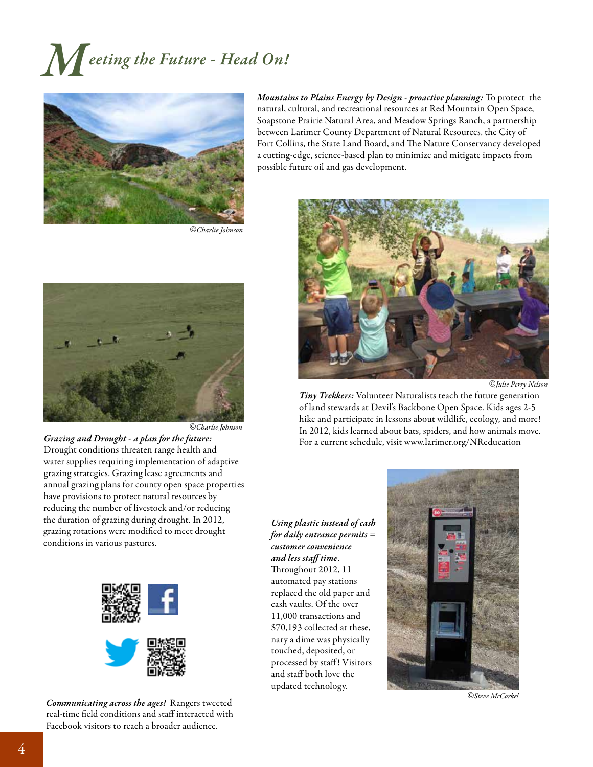## *Meeting the Future - Head On!*

![](_page_3_Picture_1.jpeg)

*©Charlie Johnson* 

![](_page_3_Picture_3.jpeg)

*©Charlie Johnson* 

*Grazing and Drought - a plan for the future:*  Drought conditions threaten range health and water supplies requiring implementation of adaptive grazing strategies. Grazing lease agreements and annual grazing plans for county open space properties have provisions to protect natural resources by reducing the number of livestock and/or reducing the duration of grazing during drought. In 2012, grazing rotations were modifed to meet drought conditions in various pastures.

![](_page_3_Picture_6.jpeg)

*Communicating across the ages!* Rangers tweeted real-time field conditions and staff interacted with Facebook visitors to reach a broader audience.

*Mountains to Plains Energy by Design - proactive planning:* To protect the natural, cultural, and recreational resources at Red Mountain Open Space, Soapstone Prairie Natural Area, and Meadow Springs Ranch, a partnership between Larimer County Department of Natural Resources, the City of Fort Collins, the State Land Board, and The Nature Conservancy developed a cutting-edge, science-based plan to minimize and mitigate impacts from possible future oil and gas development.

![](_page_3_Picture_9.jpeg)

*©Julie Perry Nelson* 

*Tiny Trekkers:* Volunteer Naturalists teach the future generation of land stewards at Devil's Backbone Open Space. Kids ages 2-5 hike and participate in lessons about wildlife, ecology, and more! In 2012, kids learned about bats, spiders, and how animals move. For a current schedule, visit<www.larimer.org/NReducation>

*Using plastic instead of cash for daily entrance permits = customer convenience and less staf time*. Throughout 2012, 11 automated pay stations replaced the old paper and cash vaults. Of the over 11,000 transactions and \$70,193 collected at these, nary a dime was physically touched, deposited, or processed by staff! Visitors and staf both love the updated technology.

![](_page_3_Picture_13.jpeg)

*©Steve McCorkel*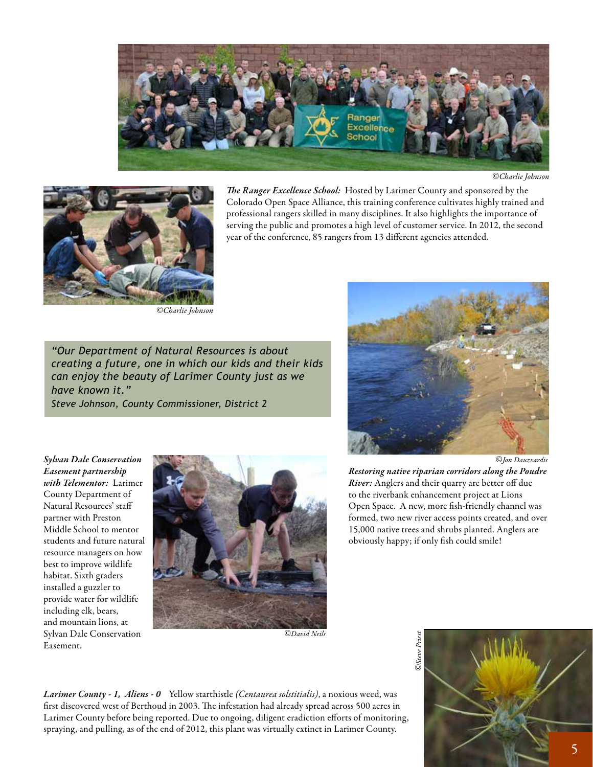![](_page_4_Picture_0.jpeg)

*©Charlie Johnson* 

![](_page_4_Picture_2.jpeg)

The Ranger Excellence School: Hosted by Larimer County and sponsored by the Colorado Open Space Alliance, this training conference cultivates highly trained and professional rangers skilled in many disciplines. It also highlights the importance of serving the public and promotes a high level of customer service. In 2012, the second year of the conference, 85 rangers from 13 diferent agencies attended.

*©Charlie Johnson* 

 *have known it." "Our Department of Natural Resources is about creating a future, one in which our kids and their kids can enjoy the beauty of Larimer County just as we Steve Johnson, County Commissioner, District 2*

![](_page_4_Picture_6.jpeg)

*Sylvan Dale Conservation*  resource managers on how best to improve wildlife habitat. Sixth graders installed a guzzler to provide water for wildlife including elk, bears, and mountain lions, at Sylvan Dale Conservation Easement.

![](_page_4_Picture_8.jpeg)

*©David Neils* 

*©Jon Dauzvardis* 

*with Telementor:* Larimer *River:* Anglers and their quarry are better off due<br>County Department of the riverbank enhancement project at Lions to the riverbank enhancement project at Lions Natural Resources' staff partner with Preston and over the Channel was formed, two new river access points created, and over the Preston of the Channel was formed, two new river access points created, and over the Preston formed, two new river access points created, and over Middle School to mentor 15,000 native trees and shrubs planted. Anglers are

*Larimer County - 1, Aliens - 0* Yellow starthistle *(Centaurea solstitialis)*, a noxious weed, was first discovered west of Berthoud in 2003. The infestation had already spread across 500 acres in Larimer County before being reported. Due to ongoing, diligent eradiction eforts of monitoring, spraying, and pulling, as of the end of 2012, this plant was virtually extinct in Larimer County.

![](_page_4_Picture_13.jpeg)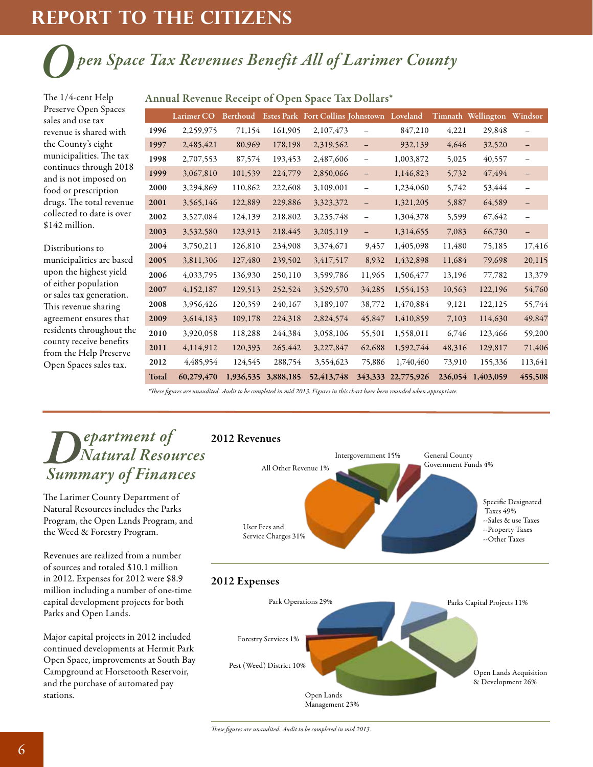## **rePORT TO THE CITIZENS**

# *Open Space Tax Revenues Benefit All of Larimer County*<br>The 1/4-cent Help Annual Revenue Receipt of Open Space Tax Dollars\*

Preserve Open Spaces sales and use tax revenue is shared with the County's eight municipalities. The tax continues through 2018 and is not imposed on food or prescription drugs. The total revenue

| Preserve Open Spaces                                                                                                                                                                                                                                                                    |       |            |         |         |                                                     |                          |                    |        |                            |                          |
|-----------------------------------------------------------------------------------------------------------------------------------------------------------------------------------------------------------------------------------------------------------------------------------------|-------|------------|---------|---------|-----------------------------------------------------|--------------------------|--------------------|--------|----------------------------|--------------------------|
| sales and use tax                                                                                                                                                                                                                                                                       |       | Larimer CO |         |         | Berthoud Estes Park Fort Collins Johnstown Loveland |                          |                    |        | Timnath Wellington Windsor |                          |
| revenue is shared with                                                                                                                                                                                                                                                                  | 1996  | 2,259,975  | 71,154  | 161,905 | 2,107,473                                           |                          | 847,210            | 4,221  | 29,848                     | $\overline{\phantom{0}}$ |
| the County's eight<br>municipalities. The tax<br>continues through 2018<br>and is not imposed on<br>food or prescription<br>drugs. The total revenue<br>collected to date is over<br>\$142 million.                                                                                     | 1997  | 2,485,421  | 80,969  | 178,198 | 2,319,562                                           |                          | 932,139            | 4,646  | 32,520                     | -                        |
|                                                                                                                                                                                                                                                                                         | 1998  | 2,707,553  | 87,574  | 193,453 | 2,487,606                                           | $\overline{\phantom{0}}$ | 1,003,872          | 5,025  | 40,557                     |                          |
|                                                                                                                                                                                                                                                                                         | 1999  | 3,067,810  | 101,539 | 224,779 | 2,850,066                                           | $\qquad \qquad -$        | 1,146,823          | 5,732  | 47,494                     | $\qquad \qquad -$        |
|                                                                                                                                                                                                                                                                                         | 2000  | 3,294,869  | 110,862 | 222,608 | 3,109,001                                           | $\qquad \qquad -$        | 1,234,060          | 5,742  | 53,444                     | $\qquad \qquad -$        |
|                                                                                                                                                                                                                                                                                         | 2001  | 3,565,146  | 122,889 | 229,886 | 3,323,372                                           | $\qquad \qquad -$        | 1,321,205          | 5,887  | 64,589                     | $\overline{\phantom{m}}$ |
|                                                                                                                                                                                                                                                                                         | 2002  | 3,527,084  | 124,139 | 218,802 | 3,235,748                                           | $\overline{\phantom{0}}$ | 1,304,378          | 5,599  | 67,642                     | $\qquad \qquad -$        |
|                                                                                                                                                                                                                                                                                         | 2003  | 3,532,580  | 123,913 | 218,445 | 3,205,119                                           | $\overline{\phantom{0}}$ | 1,314,655          | 7,083  | 66,730                     | $\overline{\phantom{a}}$ |
| Distributions to<br>municipalities are based<br>upon the highest yield<br>of either population<br>or sales tax generation.<br>This revenue sharing<br>agreement ensures that<br>residents throughout the<br>county receive benefits<br>from the Help Preserve<br>Open Spaces sales tax. | 2004  | 3,750,211  | 126,810 | 234,908 | 3,374,671                                           | 9,457                    | 1,405,098          | 11,480 | 75,185                     | 17,416                   |
|                                                                                                                                                                                                                                                                                         | 2005  | 3,811,306  | 127,480 | 239,502 | 3,417,517                                           | 8,932                    | 1,432,898          | 11,684 | 79,698                     | 20,115                   |
|                                                                                                                                                                                                                                                                                         | 2006  | 4,033,795  | 136,930 | 250,110 | 3,599,786                                           | 11,965                   | 1,506,477          | 13,196 | 77,782                     | 13,379                   |
|                                                                                                                                                                                                                                                                                         | 2007  | 4,152,187  | 129,513 | 252,524 | 3,529,570                                           | 34,285                   | 1,554,153          | 10,563 | 122,196                    | 54,760                   |
|                                                                                                                                                                                                                                                                                         | 2008  | 3,956,426  | 120,359 | 240,167 | 3,189,107                                           | 38,772                   | 1,470,884          | 9,121  | 122,125                    | 55,744                   |
|                                                                                                                                                                                                                                                                                         | 2009  | 3,614,183  | 109,178 | 224,318 | 2,824,574                                           | 45,847                   | 1,410,859          | 7,103  | 114,630                    | 49,847                   |
|                                                                                                                                                                                                                                                                                         | 2010  | 3,920,058  | 118,288 | 244,384 | 3,058,106                                           | 55,501                   | 1,558,011          | 6,746  | 123,466                    | 59,200                   |
|                                                                                                                                                                                                                                                                                         | 2011  | 4,114,912  | 120,393 | 265,442 | 3,227,847                                           | 62,688                   | 1,592,744          | 48,316 | 129,817                    | 71,406                   |
|                                                                                                                                                                                                                                                                                         | 2012  | 4,485,954  | 124,545 | 288,754 | 3,554,623                                           | 75,886                   | 1,740,460          | 73,910 | 155,336                    | 113,641                  |
|                                                                                                                                                                                                                                                                                         | Total | 60,279,470 |         |         | 1,936,535 3,888,185 52,413,748                      |                          | 343,333 22,775,926 |        | 236,054 1,403,059          | 455,508                  |

#### Annual Revenue Receipt of Open Space Tax Dollars\*

 *\*Tese fgures are unaudited. Audit to be completed in mid 2013. Figures in this chart have been rounded when appropriate.* 

### *Department of Natural Resources Summary of Finances*

The Larimer County Department of Natural Resources includes the Parks Program, the Open Lands Program, and the Weed & Forestry Program.<br>Revenues are realized from a number

of sources and totaled \$10.1 million in 2012. Expenses for 2012 were \$8.9 million including a number of one-time capital development projects for both Parks and Open Lands.

Major capital projects in 2012 included continued developments at Hermit Park Open Space, improvements at South Bay Campground at Horsetooth Reservoir, and the purchase of automated pay stations.

![](_page_5_Figure_11.jpeg)

#### 2012 Expenses

![](_page_5_Figure_13.jpeg)

*Tese fgures are unaudited. Audit to be completed in mid 2013.*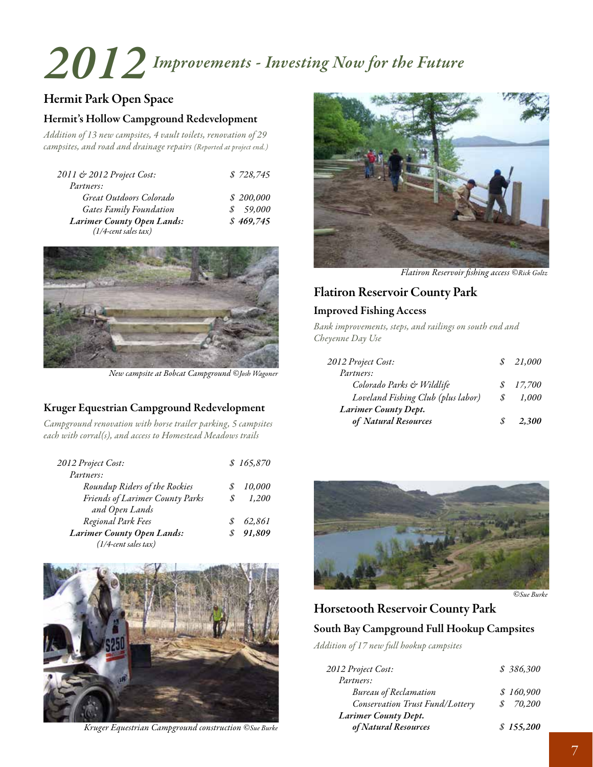# *2012 Improvements - Investing Now for the Future*

#### Hermit Park Open Space

#### Hermit's Hollow Campground Redevelopment

*Addition of 13 new campsites, 4 vault toilets, renovation of 29 campsites, and road and drainage repairs (Reported at project end.)* 

| 2011 & 2012 Project Cost:         | \$728,745 |
|-----------------------------------|-----------|
| Partners:                         |           |
| Great Outdoors Colorado           | \$200,000 |
| <b>Gates Family Foundation</b>    | \$59,000  |
| <b>Larimer County Open Lands:</b> | \$469,745 |
| $(1/4$ -cent sales tax)           |           |

![](_page_6_Picture_5.jpeg)

*New campsite at Bobcat Campground ©Josh Wagoner* 

#### Kruger Equestrian Campground Redevelopment *Larimer County Dept.*

*Campground renovation with horse trailer parking, 5 campsites each with corral(s), and access to Homestead Meadows trails* 

| 2012 Project Cost:                |   | \$165,870 |
|-----------------------------------|---|-----------|
| Partners:                         |   |           |
| Roundup Riders of the Rockies     |   | 10,000    |
| Friends of Larimer County Parks   | S | 1,200     |
| and Open Lands                    |   |           |
| Regional Park Fees                |   | 62,861    |
| <b>Larimer County Open Lands:</b> |   | 91,809    |
| $(1/4$ -cent sales tax)           |   |           |

![](_page_6_Picture_10.jpeg)

*Kruger Equestrian Campground construction ©Sue Burke* 

![](_page_6_Picture_12.jpeg)

*Flatiron Reservoir fshing access ©Rick Goltz* 

### Flatiron Reservoir County Park

#### Improved Fishing Access

*Bank improvements, steps, and railings on south end and Cheyenne Day Use* 

| 2012 Project Cost:                 |   | 21,000 |
|------------------------------------|---|--------|
| Partners:                          |   |        |
| Colorado Parks & Wildlife          | S | 17,700 |
| Loveland Fishing Club (plus labor) | S | 1,000  |
| Larimer County Dept.               |   |        |
| of Natural Resources               |   | 2.300  |

![](_page_6_Picture_18.jpeg)

*©Sue Burke* 

#### Horsetooth Reservoir County Park

#### South Bay Campground Full Hookup Campsites

*Addition of 17 new full hookup campsites* 

| 2012 Project Cost:              | \$386,300 |
|---------------------------------|-----------|
| Partners:                       |           |
| <b>Bureau</b> of Reclamation    | \$160,900 |
| Conservation Trust Fund/Lottery | 70,200    |
| Larimer County Dept.            |           |
| of Natural Resources            | \$155,200 |